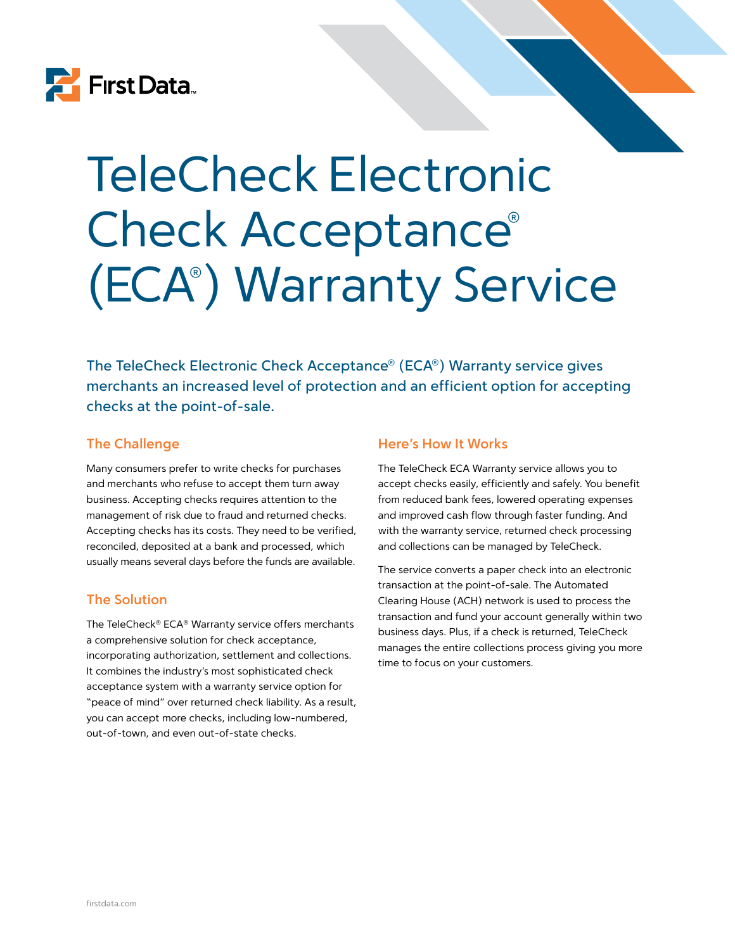

# TeleCheck Electronic Check Acceptance® (ECA® ) Warranty Service

The TeleCheck Electronic Check Acceptance® (ECA®) Warranty service gives merchants an increased level of protection and an efficient option for accepting checks at the point-of-sale.

### **The Challenge**

Many consumers prefer to write checks for purchases and merchants who refuse to accept them turn away business. Accepting checks requires attention to the management of risk due to fraud and returned checks. Accepting checks has its costs. They need to be verified, reconciled, deposited at a bank and processed, which usually means several days before the funds are available.

### **The Solution**

The TeleCheck® ECA® Warranty service offers merchants a comprehensive solution for check acceptance, incorporating authorization, settlement and collections. It combines the industry's most sophisticated check acceptance system with a warranty service option for "peace of mind" over returned check liability. As a result, you can accept more checks, including low-numbered, out-of-town, and even out-of-state checks.

#### **Here's How It Works**

The TeleCheck ECA Warranty service allows you to accept checks easily, efficiently and safely. You benefit from reduced bank fees, lowered operating expenses and improved cash flow through faster funding. And with the warranty service, returned check processing and collections can be managed by TeleCheck.

The service converts a paper check into an electronic transaction at the point-of-sale. The Automated Clearing House (ACH) network is used to process the transaction and fund your account generally within two business days. Plus, if a check is returned, TeleCheck manages the entire collections process giving you more time to focus on your customers.